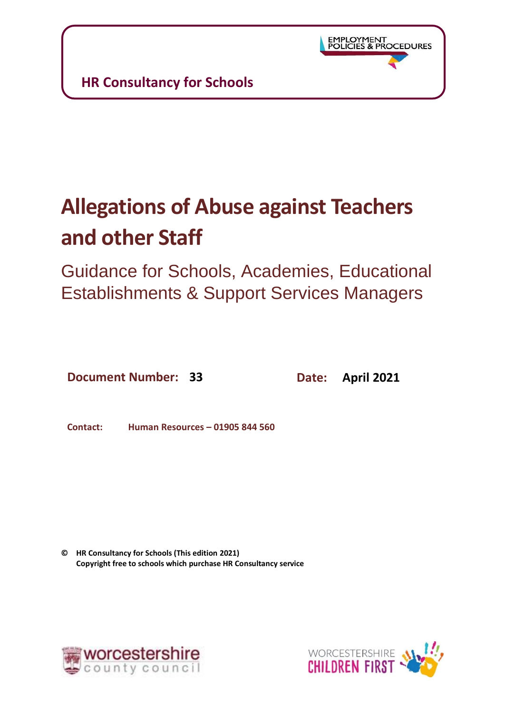# **Allegations of Abuse against Teachers and other Staff**

Guidance for Schools, Academies, Educational Establishments & Support Services Managers

**Document Number: 33 Date: April 2021**

**Contact: Human Resources – 01905 844 560**

**© HR Consultancy for Schools (This edition 2021) Copyright free to schools which purchase HR Consultancy service**



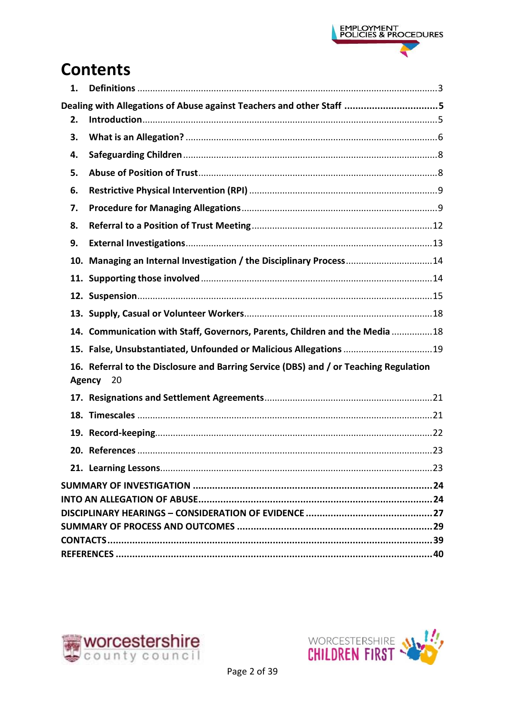

# **Contents**

| 1. |                                                                                       |  |
|----|---------------------------------------------------------------------------------------|--|
|    | Dealing with Allegations of Abuse against Teachers and other Staff 5                  |  |
| 2. |                                                                                       |  |
| 3. |                                                                                       |  |
| 4. |                                                                                       |  |
| 5. |                                                                                       |  |
| 6. |                                                                                       |  |
| 7. |                                                                                       |  |
| 8. |                                                                                       |  |
| 9. |                                                                                       |  |
|    | 10. Managing an Internal Investigation / the Disciplinary Process14                   |  |
|    |                                                                                       |  |
|    |                                                                                       |  |
|    |                                                                                       |  |
|    | 14. Communication with Staff, Governors, Parents, Children and the Media 18           |  |
|    | 15. False, Unsubstantiated, Unfounded or Malicious Allegations 19                     |  |
|    | 16. Referral to the Disclosure and Barring Service (DBS) and / or Teaching Regulation |  |
|    | 20<br>Agency                                                                          |  |
|    |                                                                                       |  |
|    |                                                                                       |  |
|    |                                                                                       |  |
|    |                                                                                       |  |
|    |                                                                                       |  |
|    |                                                                                       |  |
|    |                                                                                       |  |
|    |                                                                                       |  |
|    |                                                                                       |  |
|    |                                                                                       |  |
|    |                                                                                       |  |



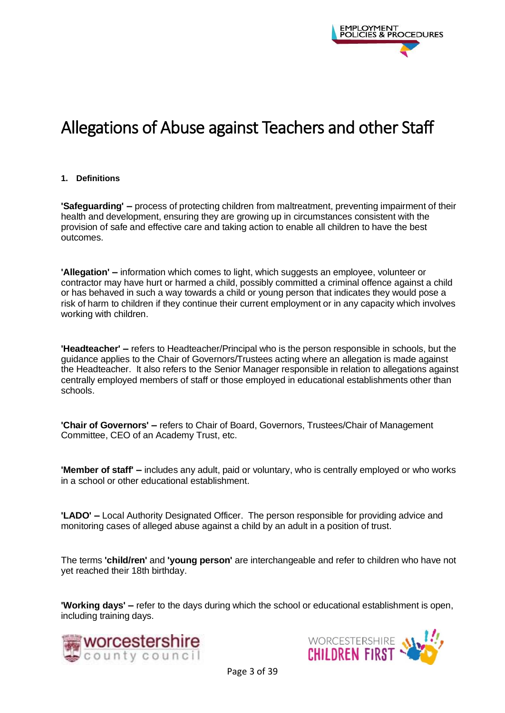

# Allegations of Abuse against Teachers and other Staff

#### <span id="page-2-0"></span>**1. Definitions**

**'Safeguarding' –** process of protecting children from maltreatment, preventing impairment of their health and development, ensuring they are growing up in circumstances consistent with the provision of safe and effective care and taking action to enable all children to have the best outcomes.

**'Allegation' –** information which comes to light, which suggests an employee, volunteer or contractor may have hurt or harmed a child, possibly committed a criminal offence against a child or has behaved in such a way towards a child or young person that indicates they would pose a risk of harm to children if they continue their current employment or in any capacity which involves working with children.

**'Headteacher' –** refers to Headteacher/Principal who is the person responsible in schools, but the guidance applies to the Chair of Governors/Trustees acting where an allegation is made against the Headteacher. It also refers to the Senior Manager responsible in relation to allegations against centrally employed members of staff or those employed in educational establishments other than schools.

**'Chair of Governors' –** refers to Chair of Board, Governors, Trustees/Chair of Management Committee, CEO of an Academy Trust, etc.

**'Member of staff' –** includes any adult, paid or voluntary, who is centrally employed or who works in a school or other educational establishment.

**'LADO' –** Local Authority Designated Officer. The person responsible for providing advice and monitoring cases of alleged abuse against a child by an adult in a position of trust.

The terms **'child/ren'** and **'young person'** are interchangeable and refer to children who have not yet reached their 18th birthday.

**'Working days' –** refer to the days during which the school or educational establishment is open, including training days.



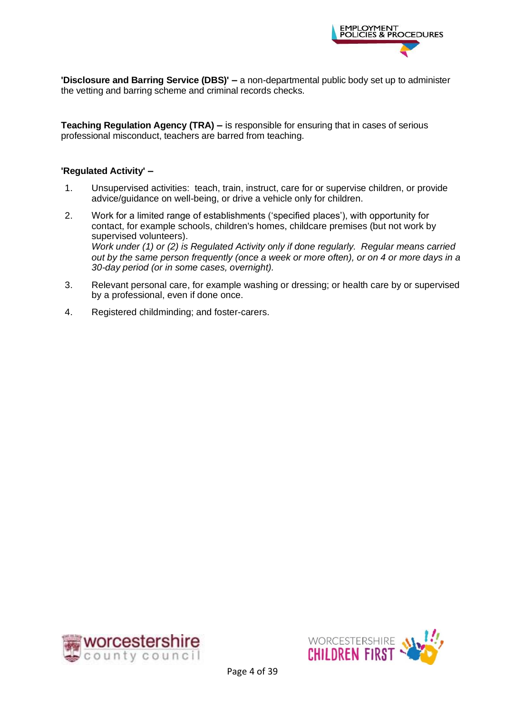

**'Disclosure and Barring Service (DBS)' –** a non-departmental public body set up to administer the vetting and barring scheme and criminal records checks.

**Teaching Regulation Agency (TRA) –** is responsible for ensuring that in cases of serious professional misconduct, teachers are barred from teaching.

#### **'Regulated Activity' –**

- 1. Unsupervised activities: teach, train, instruct, care for or supervise children, or provide advice/guidance on well-being, or drive a vehicle only for children.
- 2. Work for a limited range of establishments ('specified places'), with opportunity for contact, for example schools, children's homes, childcare premises (but not work by supervised volunteers). *Work under (1) or (2) is Regulated Activity only if done regularly. Regular means carried out by the same person frequently (once a week or more often), or on 4 or more days in a 30-day period (or in some cases, overnight).*
- 3. Relevant personal care, for example washing or dressing; or health care by or supervised by a professional, even if done once.
- 4. Registered childminding; and foster-carers.



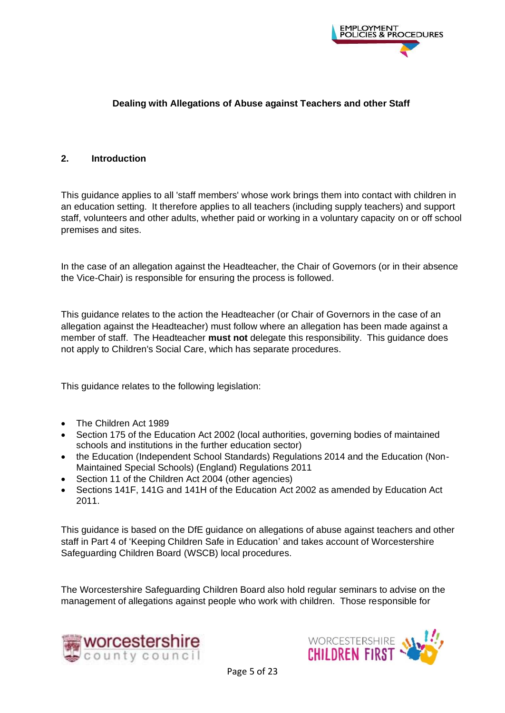

#### <span id="page-4-0"></span>**Dealing with Allegations of Abuse against Teachers and other Staff**

#### <span id="page-4-1"></span>**2. Introduction**

This guidance applies to all 'staff members' whose work brings them into contact with children in an education setting. It therefore applies to all teachers (including supply teachers) and support staff, volunteers and other adults, whether paid or working in a voluntary capacity on or off school premises and sites.

In the case of an allegation against the Headteacher, the Chair of Governors (or in their absence the Vice-Chair) is responsible for ensuring the process is followed.

This guidance relates to the action the Headteacher (or Chair of Governors in the case of an allegation against the Headteacher) must follow where an allegation has been made against a member of staff. The Headteacher **must not** delegate this responsibility. This guidance does not apply to Children's Social Care, which has separate procedures.

This guidance relates to the following legislation:

- The Children Act 1989
- Section 175 of the Education Act 2002 (local authorities, governing bodies of maintained schools and institutions in the further education sector)
- the Education (Independent School Standards) Regulations 2014 and the Education (Non-Maintained Special Schools) (England) Regulations 2011
- Section 11 of the Children Act 2004 (other agencies)
- Sections 141F, 141G and 141H of the Education Act 2002 as amended by Education Act 2011.

This guidance is based on the DfE guidance on allegations of abuse against teachers and other staff in Part 4 of 'Keeping Children Safe in Education' and takes account of Worcestershire Safeguarding Children Board (WSCB) local procedures.

The Worcestershire Safeguarding Children Board also hold regular seminars to advise on the management of allegations against people who work with children. Those responsible for



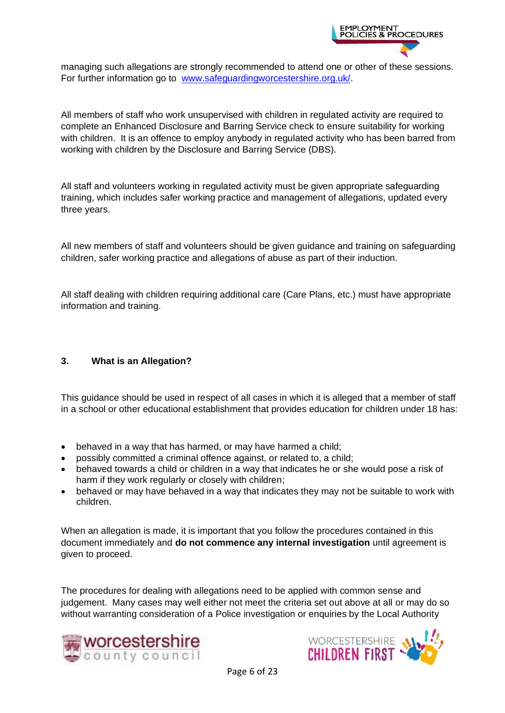

managing such allegations are strongly recommended to attend one or other of these sessions. For further information go to [www.safeguardingworcestershire.org.uk/.](http://www.safeguardingworcestershire.org.uk/)

All members of staff who work unsupervised with children in regulated activity are required to complete an Enhanced Disclosure and Barring Service check to ensure suitability for working with children. It is an offence to employ anybody in regulated activity who has been barred from working with children by the Disclosure and Barring Service (DBS).

All staff and volunteers working in regulated activity must be given appropriate safeguarding training, which includes safer working practice and management of allegations, updated every three years.

All new members of staff and volunteers should be given guidance and training on safeguarding children, safer working practice and allegations of abuse as part of their induction.

All staff dealing with children requiring additional care (Care Plans, etc.) must have appropriate information and training.

#### <span id="page-5-0"></span>**3. What is an Allegation?**

This guidance should be used in respect of all cases in which it is alleged that a member of staff in a school or other educational establishment that provides education for children under 18 has:

- behaved in a way that has harmed, or may have harmed a child;
- possibly committed a criminal offence against, or related to, a child;
- behaved towards a child or children in a way that indicates he or she would pose a risk of harm if they work regularly or closely with children;
- behaved or may have behaved in a way that indicates they may not be suitable to work with children.

When an allegation is made, it is important that you follow the procedures contained in this document immediately and **do not commence any internal investigation** until agreement is given to proceed.

The procedures for dealing with allegations need to be applied with common sense and judgement. Many cases may well either not meet the criteria set out above at all or may do so without warranting consideration of a Police investigation or enquiries by the Local Authority



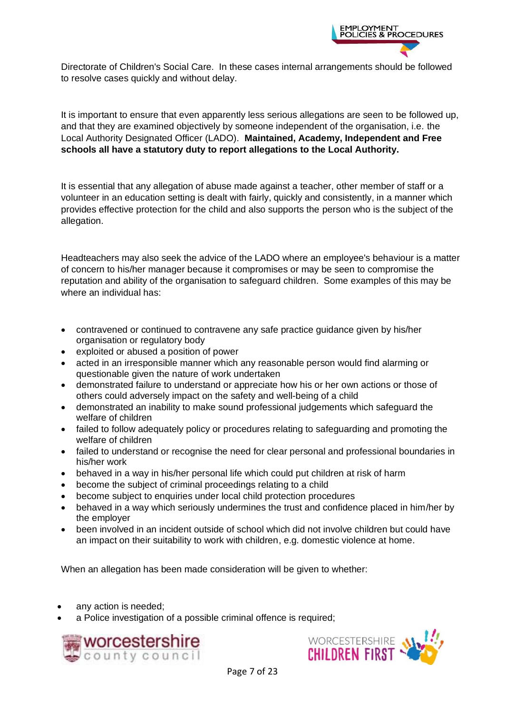

Directorate of Children's Social Care. In these cases internal arrangements should be followed to resolve cases quickly and without delay.

It is important to ensure that even apparently less serious allegations are seen to be followed up, and that they are examined objectively by someone independent of the organisation, i.e. the Local Authority Designated Officer (LADO). **Maintained, Academy, Independent and Free schools all have a statutory duty to report allegations to the Local Authority.**

It is essential that any allegation of abuse made against a teacher, other member of staff or a volunteer in an education setting is dealt with fairly, quickly and consistently, in a manner which provides effective protection for the child and also supports the person who is the subject of the allegation.

Headteachers may also seek the advice of the LADO where an employee's behaviour is a matter of concern to his/her manager because it compromises or may be seen to compromise the reputation and ability of the organisation to safeguard children. Some examples of this may be where an individual has:

- contravened or continued to contravene any safe practice guidance given by his/her organisation or regulatory body
- exploited or abused a position of power
- acted in an irresponsible manner which any reasonable person would find alarming or questionable given the nature of work undertaken
- demonstrated failure to understand or appreciate how his or her own actions or those of others could adversely impact on the safety and well-being of a child
- demonstrated an inability to make sound professional judgements which safeguard the welfare of children
- failed to follow adequately policy or procedures relating to safeguarding and promoting the welfare of children
- failed to understand or recognise the need for clear personal and professional boundaries in his/her work
- behaved in a way in his/her personal life which could put children at risk of harm
- become the subject of criminal proceedings relating to a child
- become subject to enquiries under local child protection procedures
- behaved in a way which seriously undermines the trust and confidence placed in him/her by the employer
- been involved in an incident outside of school which did not involve children but could have an impact on their suitability to work with children, e.g. domestic violence at home.

When an allegation has been made consideration will be given to whether:

- any action is needed;
- a Police investigation of a possible criminal offence is required;



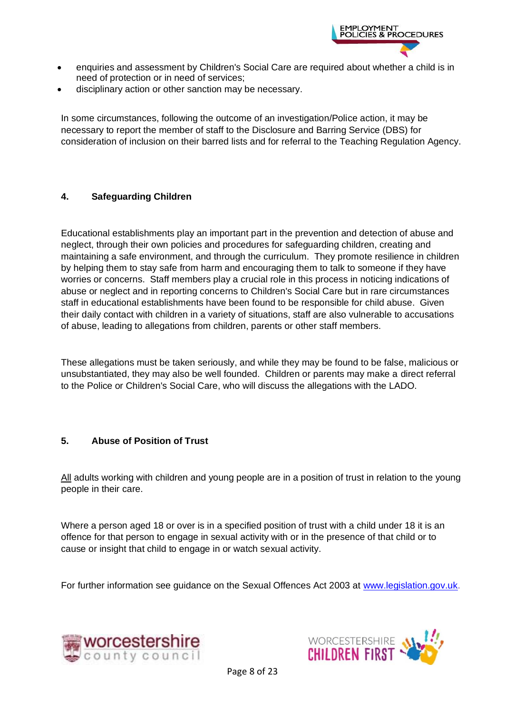

- enquiries and assessment by Children's Social Care are required about whether a child is in need of protection or in need of services;
- disciplinary action or other sanction may be necessary.

In some circumstances, following the outcome of an investigation/Police action, it may be necessary to report the member of staff to the Disclosure and Barring Service (DBS) for consideration of inclusion on their barred lists and for referral to the Teaching Regulation Agency.

#### <span id="page-7-0"></span>**4. Safeguarding Children**

Educational establishments play an important part in the prevention and detection of abuse and neglect, through their own policies and procedures for safeguarding children, creating and maintaining a safe environment, and through the curriculum. They promote resilience in children by helping them to stay safe from harm and encouraging them to talk to someone if they have worries or concerns. Staff members play a crucial role in this process in noticing indications of abuse or neglect and in reporting concerns to Children's Social Care but in rare circumstances staff in educational establishments have been found to be responsible for child abuse. Given their daily contact with children in a variety of situations, staff are also vulnerable to accusations of abuse, leading to allegations from children, parents or other staff members.

These allegations must be taken seriously, and while they may be found to be false, malicious or unsubstantiated, they may also be well founded. Children or parents may make a direct referral to the Police or Children's Social Care, who will discuss the allegations with the LADO.

#### <span id="page-7-1"></span>**5. Abuse of Position of Trust**

All adults working with children and young people are in a position of trust in relation to the young people in their care.

Where a person aged 18 or over is in a specified position of trust with a child under 18 it is an offence for that person to engage in sexual activity with or in the presence of that child or to cause or insight that child to engage in or watch sexual activity.

For further information see guidance on the Sexual Offences Act 2003 at [www.legislation.gov.uk.](http://www.legislation.gov.uk/)



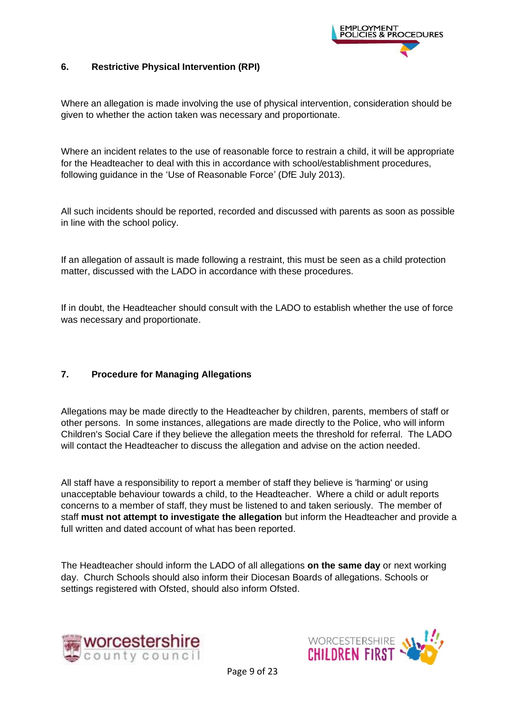

#### <span id="page-8-0"></span>**6. Restrictive Physical Intervention (RPI)**

Where an allegation is made involving the use of physical intervention, consideration should be given to whether the action taken was necessary and proportionate.

Where an incident relates to the use of reasonable force to restrain a child, it will be appropriate for the Headteacher to deal with this in accordance with school/establishment procedures, following guidance in the 'Use of Reasonable Force' (DfE July 2013).

All such incidents should be reported, recorded and discussed with parents as soon as possible in line with the school policy.

If an allegation of assault is made following a restraint, this must be seen as a child protection matter, discussed with the LADO in accordance with these procedures.

If in doubt, the Headteacher should consult with the LADO to establish whether the use of force was necessary and proportionate.

#### <span id="page-8-1"></span>**7. Procedure for Managing Allegations**

Allegations may be made directly to the Headteacher by children, parents, members of staff or other persons. In some instances, allegations are made directly to the Police, who will inform Children's Social Care if they believe the allegation meets the threshold for referral. The LADO will contact the Headteacher to discuss the allegation and advise on the action needed.

All staff have a responsibility to report a member of staff they believe is 'harming' or using unacceptable behaviour towards a child, to the Headteacher. Where a child or adult reports concerns to a member of staff, they must be listened to and taken seriously. The member of staff **must not attempt to investigate the allegation** but inform the Headteacher and provide a full written and dated account of what has been reported.

The Headteacher should inform the LADO of all allegations **on the same day** or next working day. Church Schools should also inform their Diocesan Boards of allegations. Schools or settings registered with Ofsted, should also inform Ofsted.



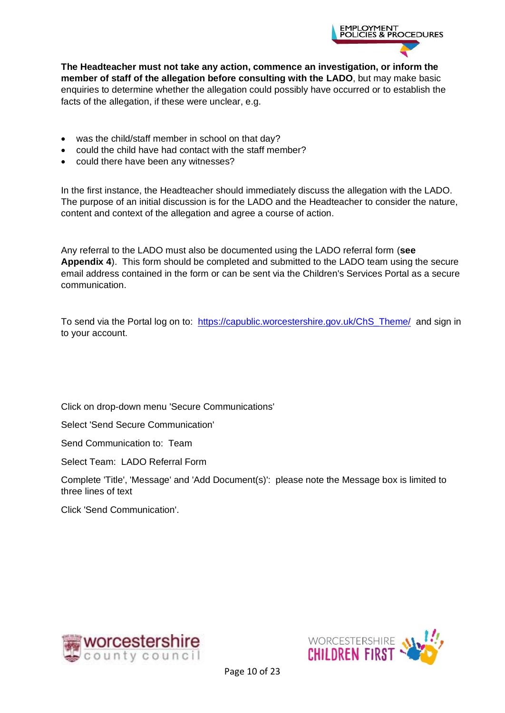

**The Headteacher must not take any action, commence an investigation, or inform the member of staff of the allegation before consulting with the LADO**, but may make basic enquiries to determine whether the allegation could possibly have occurred or to establish the facts of the allegation, if these were unclear, e.g.

- was the child/staff member in school on that day?
- could the child have had contact with the staff member?
- could there have been any witnesses?

In the first instance, the Headteacher should immediately discuss the allegation with the LADO. The purpose of an initial discussion is for the LADO and the Headteacher to consider the nature, content and context of the allegation and agree a course of action.

Any referral to the LADO must also be documented using the LADO referral form (**see Appendix 4**). This form should be completed and submitted to the LADO team using the secure email address contained in the form or can be sent via the Children's Services Portal as a secure communication.

To send via the Portal log on to: [https://capublic.worcestershire.gov.uk/ChS\\_Theme/](https://capublic.worcestershire.gov.uk/ChS_Theme/) and sign in to your account.

Click on drop-down menu 'Secure Communications'

Select 'Send Secure Communication'

Send Communication to: Team

Select Team: LADO Referral Form

Complete 'Title', 'Message' and 'Add Document(s)': please note the Message box is limited to three lines of text

Click 'Send Communication'.



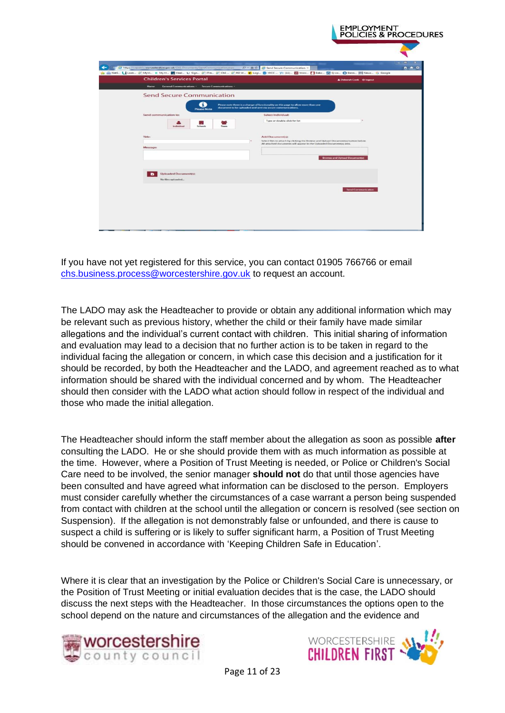| <b>Children's Services Portal</b>                        | (a) NetS Li Look @ MyVi K My H @ Heal Li Sign @ Tire @ ChS @ RD W Clopi By WCC Y: (11) K Worc Clabc K Q-co @ Bann im News G Google<br><b>&amp; Deborah Cook C logout</b> |
|----------------------------------------------------------|--------------------------------------------------------------------------------------------------------------------------------------------------------------------------|
| Home<br>General Communications - Secure Communications - |                                                                                                                                                                          |
| <b>Send Secure Communication</b>                         |                                                                                                                                                                          |
| л.                                                       | Please note there is a change of functionality on this page to allow more than one                                                                                       |
| <b>Please Note</b><br>Send communication to:             | document to be uploaded and sent via secure communications.<br><b>Select Individual:</b>                                                                                 |
|                                                          | Type or double-click for list                                                                                                                                            |
| Schools<br>Individual<br>Team                            |                                                                                                                                                                          |
| Title:                                                   | Add Document(s):                                                                                                                                                         |
| Message:                                                 | Select files to attach by clicking the Browse and Upload Document(s) button below.<br>All attached documents will appear in the Uploaded Documentis) area.               |
|                                                          |                                                                                                                                                                          |
|                                                          | <b>Browse and Upload Documents</b>                                                                                                                                       |
|                                                          |                                                                                                                                                                          |
| <b>Uploaded Document(s):</b><br>No files uploaded        |                                                                                                                                                                          |
|                                                          |                                                                                                                                                                          |

If you have not yet registered for this service, you can contact 01905 766766 or email [chs.business.process@worcestershire.gov.uk](mailto:chs.business.process@worcestershire.gov.uk) to request an account.

The LADO may ask the Headteacher to provide or obtain any additional information which may be relevant such as previous history, whether the child or their family have made similar allegations and the individual's current contact with children. This initial sharing of information and evaluation may lead to a decision that no further action is to be taken in regard to the individual facing the allegation or concern, in which case this decision and a justification for it should be recorded, by both the Headteacher and the LADO, and agreement reached as to what information should be shared with the individual concerned and by whom. The Headteacher should then consider with the LADO what action should follow in respect of the individual and those who made the initial allegation.

The Headteacher should inform the staff member about the allegation as soon as possible **after** consulting the LADO. He or she should provide them with as much information as possible at the time. However, where a Position of Trust Meeting is needed, or Police or Children's Social Care need to be involved, the senior manager **should not** do that until those agencies have been consulted and have agreed what information can be disclosed to the person. Employers must consider carefully whether the circumstances of a case warrant a person being suspended from contact with children at the school until the allegation or concern is resolved (see section on Suspension). If the allegation is not demonstrably false or unfounded, and there is cause to suspect a child is suffering or is likely to suffer significant harm, a Position of Trust Meeting should be convened in accordance with 'Keeping Children Safe in Education'.

Where it is clear that an investigation by the Police or Children's Social Care is unnecessary, or the Position of Trust Meeting or initial evaluation decides that is the case, the LADO should discuss the next steps with the Headteacher. In those circumstances the options open to the school depend on the nature and circumstances of the allegation and the evidence and



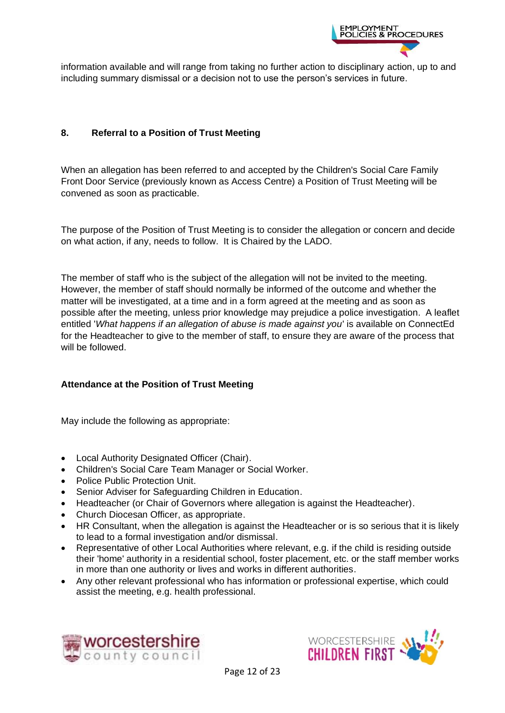

information available and will range from taking no further action to disciplinary action, up to and including summary dismissal or a decision not to use the person's services in future.

#### <span id="page-11-0"></span>**8. Referral to a Position of Trust Meeting**

When an allegation has been referred to and accepted by the Children's Social Care Family Front Door Service (previously known as Access Centre) a Position of Trust Meeting will be convened as soon as practicable.

The purpose of the Position of Trust Meeting is to consider the allegation or concern and decide on what action, if any, needs to follow. It is Chaired by the LADO.

The member of staff who is the subject of the allegation will not be invited to the meeting. However, the member of staff should normally be informed of the outcome and whether the matter will be investigated, at a time and in a form agreed at the meeting and as soon as possible after the meeting, unless prior knowledge may prejudice a police investigation. A leaflet entitled '*What happens if an allegation of abuse is made against you*' is available on ConnectEd for the Headteacher to give to the member of staff, to ensure they are aware of the process that will be followed.

#### **Attendance at the Position of Trust Meeting**

May include the following as appropriate:

- Local Authority Designated Officer (Chair).
- Children's Social Care Team Manager or Social Worker.
- Police Public Protection Unit.
- Senior Adviser for Safeguarding Children in Education.
- Headteacher (or Chair of Governors where allegation is against the Headteacher).
- Church Diocesan Officer, as appropriate.
- HR Consultant, when the allegation is against the Headteacher or is so serious that it is likely to lead to a formal investigation and/or dismissal.
- Representative of other Local Authorities where relevant, e.g. if the child is residing outside their 'home' authority in a residential school, foster placement, etc. or the staff member works in more than one authority or lives and works in different authorities.
- Any other relevant professional who has information or professional expertise, which could assist the meeting, e.g. health professional.



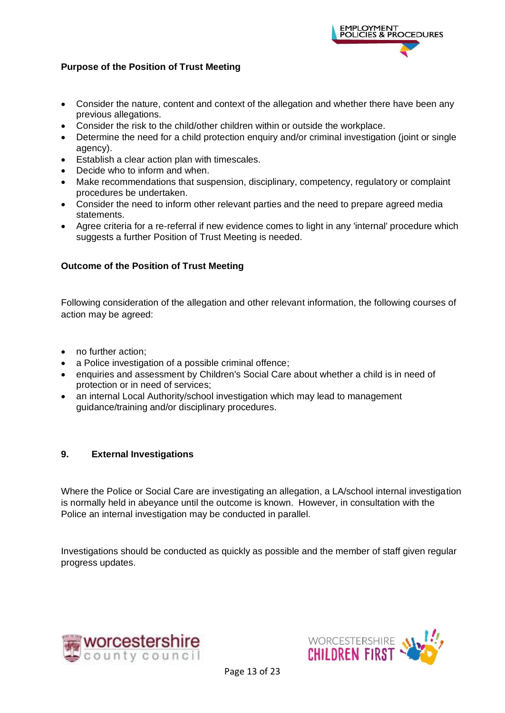

#### **Purpose of the Position of Trust Meeting**

- Consider the nature, content and context of the allegation and whether there have been any previous allegations.
- Consider the risk to the child/other children within or outside the workplace.
- Determine the need for a child protection enquiry and/or criminal investigation (joint or single agency).
- Establish a clear action plan with timescales.
- Decide who to inform and when.
- Make recommendations that suspension, disciplinary, competency, regulatory or complaint procedures be undertaken.
- Consider the need to inform other relevant parties and the need to prepare agreed media statements.
- Agree criteria for a re-referral if new evidence comes to light in any 'internal' procedure which suggests a further Position of Trust Meeting is needed.

#### **Outcome of the Position of Trust Meeting**

Following consideration of the allegation and other relevant information, the following courses of action may be agreed:

- no further action:
- a Police investigation of a possible criminal offence;
- enquiries and assessment by Children's Social Care about whether a child is in need of protection or in need of services;
- an internal Local Authority/school investigation which may lead to management guidance/training and/or disciplinary procedures.

#### <span id="page-12-0"></span>**9. External Investigations**

Where the Police or Social Care are investigating an allegation, a LA/school internal investigation is normally held in abeyance until the outcome is known. However, in consultation with the Police an internal investigation may be conducted in parallel.

Investigations should be conducted as quickly as possible and the member of staff given regular progress updates.



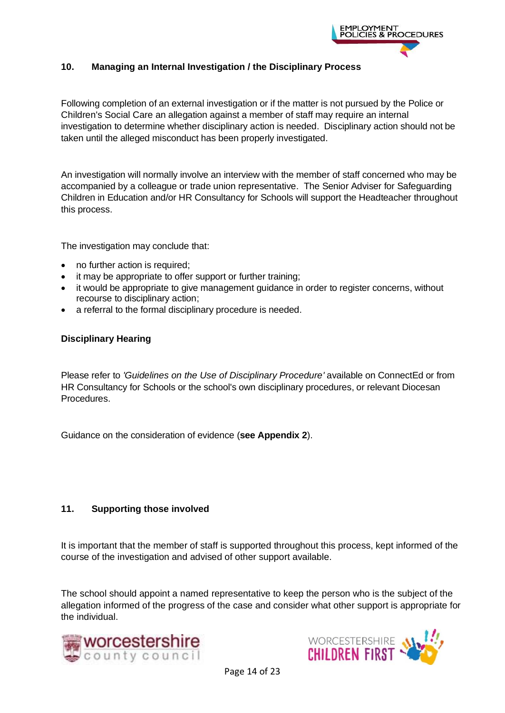

#### <span id="page-13-0"></span>**10. Managing an Internal Investigation / the Disciplinary Process**

Following completion of an external investigation or if the matter is not pursued by the Police or Children's Social Care an allegation against a member of staff may require an internal investigation to determine whether disciplinary action is needed. Disciplinary action should not be taken until the alleged misconduct has been properly investigated.

An investigation will normally involve an interview with the member of staff concerned who may be accompanied by a colleague or trade union representative. The Senior Adviser for Safeguarding Children in Education and/or HR Consultancy for Schools will support the Headteacher throughout this process.

The investigation may conclude that:

- no further action is required;
- it may be appropriate to offer support or further training;
- it would be appropriate to give management guidance in order to register concerns, without recourse to disciplinary action;
- a referral to the formal disciplinary procedure is needed.

#### **Disciplinary Hearing**

Please refer to *'Guidelines on the Use of Disciplinary Procedure'* available on ConnectEd or from HR Consultancy for Schools or the school's own disciplinary procedures, or relevant Diocesan Procedures.

Guidance on the consideration of evidence (**see Appendix 2**).

#### <span id="page-13-1"></span>**11. Supporting those involved**

It is important that the member of staff is supported throughout this process, kept informed of the course of the investigation and advised of other support available.

The school should appoint a named representative to keep the person who is the subject of the allegation informed of the progress of the case and consider what other support is appropriate for the individual.



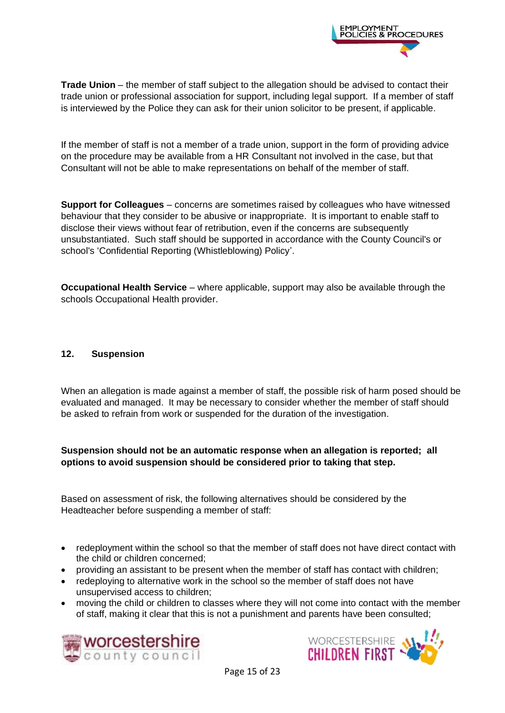

**Trade Union** – the member of staff subject to the allegation should be advised to contact their trade union or professional association for support, including legal support. If a member of staff is interviewed by the Police they can ask for their union solicitor to be present, if applicable.

If the member of staff is not a member of a trade union, support in the form of providing advice on the procedure may be available from a HR Consultant not involved in the case, but that Consultant will not be able to make representations on behalf of the member of staff.

**Support for Colleagues** – concerns are sometimes raised by colleagues who have witnessed behaviour that they consider to be abusive or inappropriate. It is important to enable staff to disclose their views without fear of retribution, even if the concerns are subsequently unsubstantiated. Such staff should be supported in accordance with the County Council's or school's 'Confidential Reporting (Whistleblowing) Policy'.

**Occupational Health Service** – where applicable, support may also be available through the schools Occupational Health provider.

#### <span id="page-14-0"></span>**12. Suspension**

When an allegation is made against a member of staff, the possible risk of harm posed should be evaluated and managed. It may be necessary to consider whether the member of staff should be asked to refrain from work or suspended for the duration of the investigation.

#### **Suspension should not be an automatic response when an allegation is reported; all options to avoid suspension should be considered prior to taking that step.**

Based on assessment of risk, the following alternatives should be considered by the Headteacher before suspending a member of staff:

- redeployment within the school so that the member of staff does not have direct contact with the child or children concerned;
- providing an assistant to be present when the member of staff has contact with children;
- redeploying to alternative work in the school so the member of staff does not have unsupervised access to children;
- moving the child or children to classes where they will not come into contact with the member of staff, making it clear that this is not a punishment and parents have been consulted;



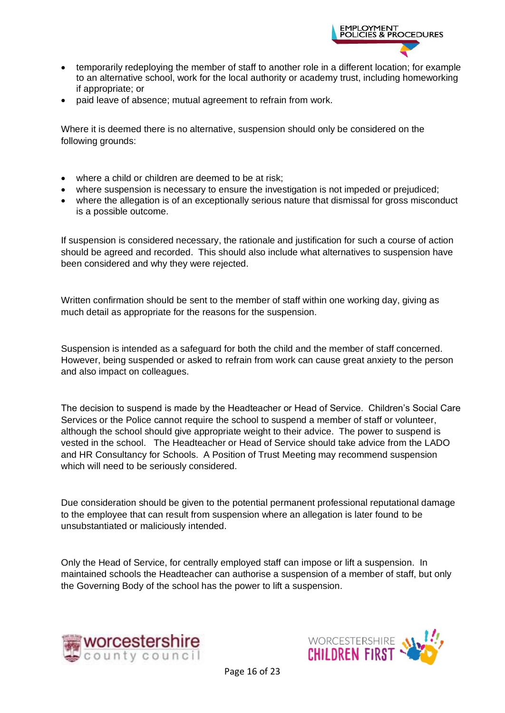

- temporarily redeploying the member of staff to another role in a different location; for example to an alternative school, work for the local authority or academy trust, including homeworking if appropriate; or
- paid leave of absence; mutual agreement to refrain from work.

Where it is deemed there is no alternative, suspension should only be considered on the following grounds:

- where a child or children are deemed to be at risk:
- where suspension is necessary to ensure the investigation is not impeded or prejudiced;
- where the allegation is of an exceptionally serious nature that dismissal for gross misconduct is a possible outcome.

If suspension is considered necessary, the rationale and justification for such a course of action should be agreed and recorded. This should also include what alternatives to suspension have been considered and why they were rejected.

Written confirmation should be sent to the member of staff within one working day, giving as much detail as appropriate for the reasons for the suspension.

Suspension is intended as a safeguard for both the child and the member of staff concerned. However, being suspended or asked to refrain from work can cause great anxiety to the person and also impact on colleagues.

The decision to suspend is made by the Headteacher or Head of Service. Children's Social Care Services or the Police cannot require the school to suspend a member of staff or volunteer, although the school should give appropriate weight to their advice. The power to suspend is vested in the school. The Headteacher or Head of Service should take advice from the LADO and HR Consultancy for Schools. A Position of Trust Meeting may recommend suspension which will need to be seriously considered.

Due consideration should be given to the potential permanent professional reputational damage to the employee that can result from suspension where an allegation is later found to be unsubstantiated or maliciously intended.

Only the Head of Service, for centrally employed staff can impose or lift a suspension. In maintained schools the Headteacher can authorise a suspension of a member of staff, but only the Governing Body of the school has the power to lift a suspension.



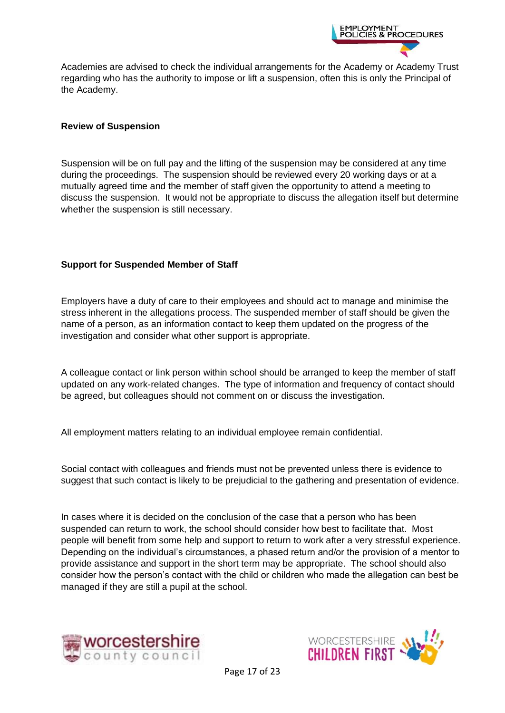

Academies are advised to check the individual arrangements for the Academy or Academy Trust regarding who has the authority to impose or lift a suspension, often this is only the Principal of the Academy.

#### **Review of Suspension**

Suspension will be on full pay and the lifting of the suspension may be considered at any time during the proceedings. The suspension should be reviewed every 20 working days or at a mutually agreed time and the member of staff given the opportunity to attend a meeting to discuss the suspension. It would not be appropriate to discuss the allegation itself but determine whether the suspension is still necessary.

#### **Support for Suspended Member of Staff**

Employers have a duty of care to their employees and should act to manage and minimise the stress inherent in the allegations process. The suspended member of staff should be given the name of a person, as an information contact to keep them updated on the progress of the investigation and consider what other support is appropriate.

A colleague contact or link person within school should be arranged to keep the member of staff updated on any work-related changes. The type of information and frequency of contact should be agreed, but colleagues should not comment on or discuss the investigation.

All employment matters relating to an individual employee remain confidential.

Social contact with colleagues and friends must not be prevented unless there is evidence to suggest that such contact is likely to be prejudicial to the gathering and presentation of evidence.

In cases where it is decided on the conclusion of the case that a person who has been suspended can return to work, the school should consider how best to facilitate that. Most people will benefit from some help and support to return to work after a very stressful experience. Depending on the individual's circumstances, a phased return and/or the provision of a mentor to provide assistance and support in the short term may be appropriate. The school should also consider how the person's contact with the child or children who made the allegation can best be managed if they are still a pupil at the school.



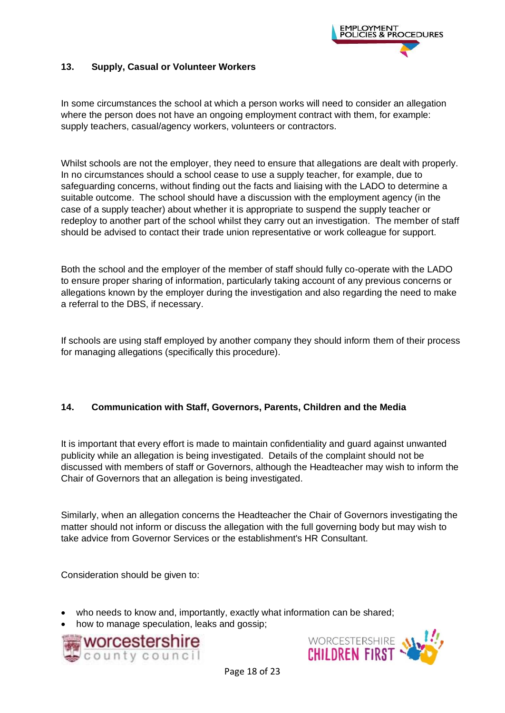

#### <span id="page-17-0"></span>**13. Supply, Casual or Volunteer Workers**

In some circumstances the school at which a person works will need to consider an allegation where the person does not have an ongoing employment contract with them, for example: supply teachers, casual/agency workers, volunteers or contractors.

Whilst schools are not the employer, they need to ensure that allegations are dealt with properly. In no circumstances should a school cease to use a supply teacher, for example, due to safeguarding concerns, without finding out the facts and liaising with the LADO to determine a suitable outcome. The school should have a discussion with the employment agency (in the case of a supply teacher) about whether it is appropriate to suspend the supply teacher or redeploy to another part of the school whilst they carry out an investigation. The member of staff should be advised to contact their trade union representative or work colleague for support.

Both the school and the employer of the member of staff should fully co-operate with the LADO to ensure proper sharing of information, particularly taking account of any previous concerns or allegations known by the employer during the investigation and also regarding the need to make a referral to the DBS, if necessary.

If schools are using staff employed by another company they should inform them of their process for managing allegations (specifically this procedure).

#### <span id="page-17-1"></span>**14. Communication with Staff, Governors, Parents, Children and the Media**

It is important that every effort is made to maintain confidentiality and guard against unwanted publicity while an allegation is being investigated. Details of the complaint should not be discussed with members of staff or Governors, although the Headteacher may wish to inform the Chair of Governors that an allegation is being investigated.

Similarly, when an allegation concerns the Headteacher the Chair of Governors investigating the matter should not inform or discuss the allegation with the full governing body but may wish to take advice from Governor Services or the establishment's HR Consultant.

Consideration should be given to:

- who needs to know and, importantly, exactly what information can be shared;
- how to manage speculation, leaks and gossip;



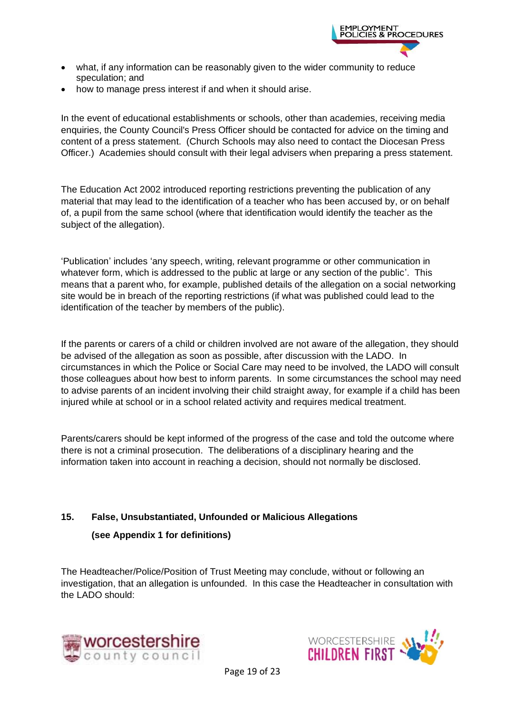

- what, if any information can be reasonably given to the wider community to reduce speculation; and
- how to manage press interest if and when it should arise.

In the event of educational establishments or schools, other than academies, receiving media enquiries, the County Council's Press Officer should be contacted for advice on the timing and content of a press statement. (Church Schools may also need to contact the Diocesan Press Officer.) Academies should consult with their legal advisers when preparing a press statement.

The Education Act 2002 introduced reporting restrictions preventing the publication of any material that may lead to the identification of a teacher who has been accused by, or on behalf of, a pupil from the same school (where that identification would identify the teacher as the subject of the allegation).

'Publication' includes 'any speech, writing, relevant programme or other communication in whatever form, which is addressed to the public at large or any section of the public'. This means that a parent who, for example, published details of the allegation on a social networking site would be in breach of the reporting restrictions (if what was published could lead to the identification of the teacher by members of the public).

If the parents or carers of a child or children involved are not aware of the allegation, they should be advised of the allegation as soon as possible, after discussion with the LADO. In circumstances in which the Police or Social Care may need to be involved, the LADO will consult those colleagues about how best to inform parents. In some circumstances the school may need to advise parents of an incident involving their child straight away, for example if a child has been injured while at school or in a school related activity and requires medical treatment.

Parents/carers should be kept informed of the progress of the case and told the outcome where there is not a criminal prosecution. The deliberations of a disciplinary hearing and the information taken into account in reaching a decision, should not normally be disclosed.

#### <span id="page-18-0"></span>**15. False, Unsubstantiated, Unfounded or Malicious Allegations**

#### **(see Appendix 1 for definitions)**

The Headteacher/Police/Position of Trust Meeting may conclude, without or following an investigation, that an allegation is unfounded. In this case the Headteacher in consultation with the LADO should:



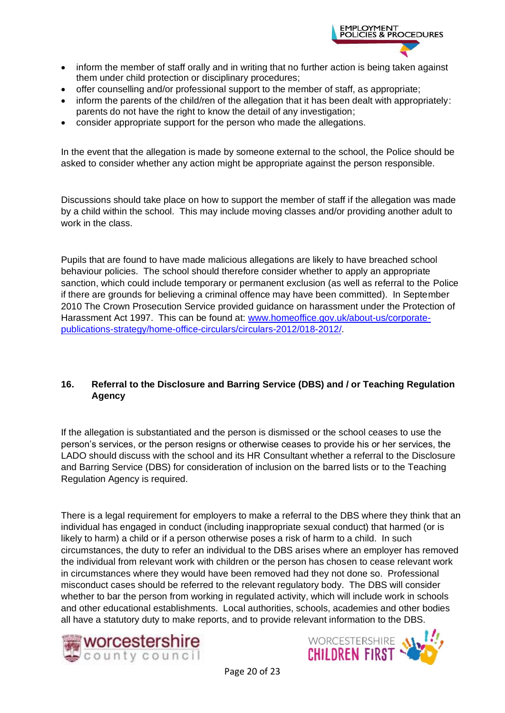

- inform the member of staff orally and in writing that no further action is being taken against them under child protection or disciplinary procedures;
- offer counselling and/or professional support to the member of staff, as appropriate;
- inform the parents of the child/ren of the allegation that it has been dealt with appropriately: parents do not have the right to know the detail of any investigation;
- consider appropriate support for the person who made the allegations.

In the event that the allegation is made by someone external to the school, the Police should be asked to consider whether any action might be appropriate against the person responsible.

Discussions should take place on how to support the member of staff if the allegation was made by a child within the school. This may include moving classes and/or providing another adult to work in the class.

Pupils that are found to have made malicious allegations are likely to have breached school behaviour policies. The school should therefore consider whether to apply an appropriate sanction, which could include temporary or permanent exclusion (as well as referral to the Police if there are grounds for believing a criminal offence may have been committed). In September 2010 The Crown Prosecution Service provided guidance on harassment under the Protection of Harassment Act 1997. This can be found at: [www.homeoffice.gov.uk/about-us/corporate](http://www.homeoffice.gov.uk/about-us/corporate-publications-strategy/home-office-circulars/circulars-2012/018-2012/)[publications-strategy/home-office-circulars/circulars-2012/018-2012/.](http://www.homeoffice.gov.uk/about-us/corporate-publications-strategy/home-office-circulars/circulars-2012/018-2012/)

#### <span id="page-19-0"></span>**16. Referral to the Disclosure and Barring Service (DBS) and / or Teaching Regulation Agency**

If the allegation is substantiated and the person is dismissed or the school ceases to use the person's services, or the person resigns or otherwise ceases to provide his or her services, the LADO should discuss with the school and its HR Consultant whether a referral to the Disclosure and Barring Service (DBS) for consideration of inclusion on the barred lists or to the Teaching Regulation Agency is required.

There is a legal requirement for employers to make a referral to the DBS where they think that an individual has engaged in conduct (including inappropriate sexual conduct) that harmed (or is likely to harm) a child or if a person otherwise poses a risk of harm to a child. In such circumstances, the duty to refer an individual to the DBS arises where an employer has removed the individual from relevant work with children or the person has chosen to cease relevant work in circumstances where they would have been removed had they not done so. Professional misconduct cases should be referred to the relevant regulatory body. The DBS will consider whether to bar the person from working in regulated activity, which will include work in schools and other educational establishments. Local authorities, schools, academies and other bodies all have a statutory duty to make reports, and to provide relevant information to the DBS.



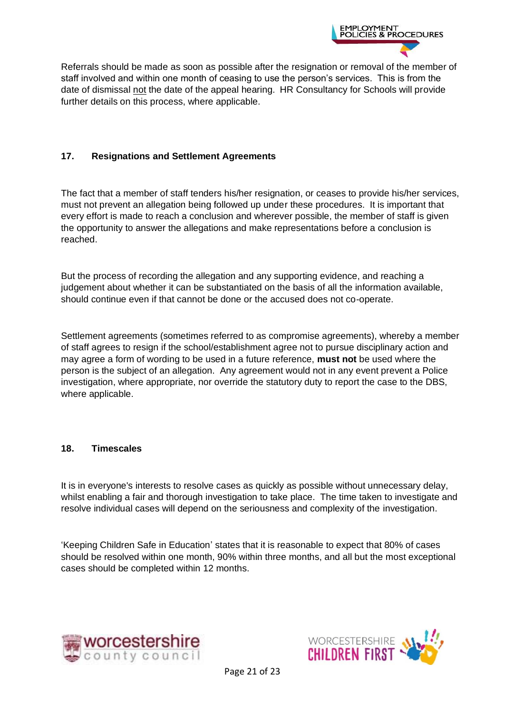

Referrals should be made as soon as possible after the resignation or removal of the member of staff involved and within one month of ceasing to use the person's services. This is from the date of dismissal not the date of the appeal hearing. HR Consultancy for Schools will provide further details on this process, where applicable.

#### <span id="page-20-0"></span>**17. Resignations and Settlement Agreements**

The fact that a member of staff tenders his/her resignation, or ceases to provide his/her services, must not prevent an allegation being followed up under these procedures. It is important that every effort is made to reach a conclusion and wherever possible, the member of staff is given the opportunity to answer the allegations and make representations before a conclusion is reached.

But the process of recording the allegation and any supporting evidence, and reaching a judgement about whether it can be substantiated on the basis of all the information available, should continue even if that cannot be done or the accused does not co-operate.

Settlement agreements (sometimes referred to as compromise agreements), whereby a member of staff agrees to resign if the school/establishment agree not to pursue disciplinary action and may agree a form of wording to be used in a future reference, **must not** be used where the person is the subject of an allegation. Any agreement would not in any event prevent a Police investigation, where appropriate, nor override the statutory duty to report the case to the DBS, where applicable.

#### <span id="page-20-1"></span>**18. Timescales**

It is in everyone's interests to resolve cases as quickly as possible without unnecessary delay, whilst enabling a fair and thorough investigation to take place. The time taken to investigate and resolve individual cases will depend on the seriousness and complexity of the investigation.

'Keeping Children Safe in Education' states that it is reasonable to expect that 80% of cases should be resolved within one month, 90% within three months, and all but the most exceptional cases should be completed within 12 months.



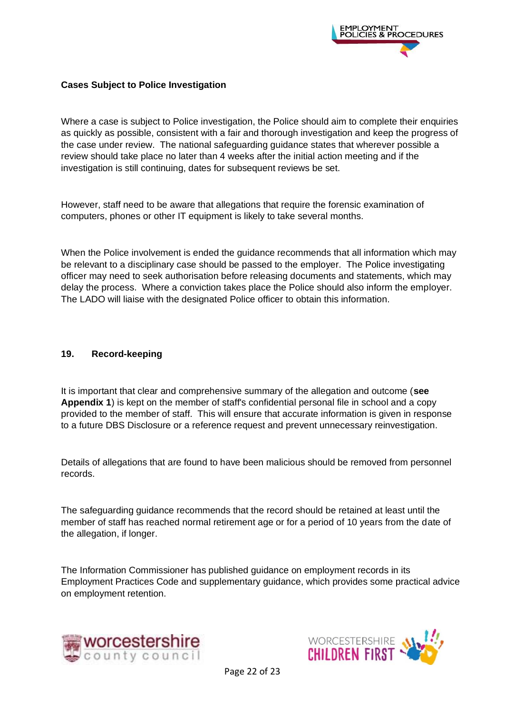

#### **Cases Subject to Police Investigation**

Where a case is subject to Police investigation, the Police should aim to complete their enquiries as quickly as possible, consistent with a fair and thorough investigation and keep the progress of the case under review. The national safeguarding guidance states that wherever possible a review should take place no later than 4 weeks after the initial action meeting and if the investigation is still continuing, dates for subsequent reviews be set.

However, staff need to be aware that allegations that require the forensic examination of computers, phones or other IT equipment is likely to take several months.

When the Police involvement is ended the guidance recommends that all information which may be relevant to a disciplinary case should be passed to the employer. The Police investigating officer may need to seek authorisation before releasing documents and statements, which may delay the process. Where a conviction takes place the Police should also inform the employer. The LADO will liaise with the designated Police officer to obtain this information.

#### <span id="page-21-0"></span>**19. Record-keeping**

It is important that clear and comprehensive summary of the allegation and outcome (**see Appendix 1**) is kept on the member of staff's confidential personal file in school and a copy provided to the member of staff. This will ensure that accurate information is given in response to a future DBS Disclosure or a reference request and prevent unnecessary reinvestigation.

Details of allegations that are found to have been malicious should be removed from personnel records.

The safeguarding guidance recommends that the record should be retained at least until the member of staff has reached normal retirement age or for a period of 10 years from the date of the allegation, if longer.

The Information Commissioner has published guidance on employment records in its Employment Practices Code and supplementary guidance, which provides some practical advice on employment retention.



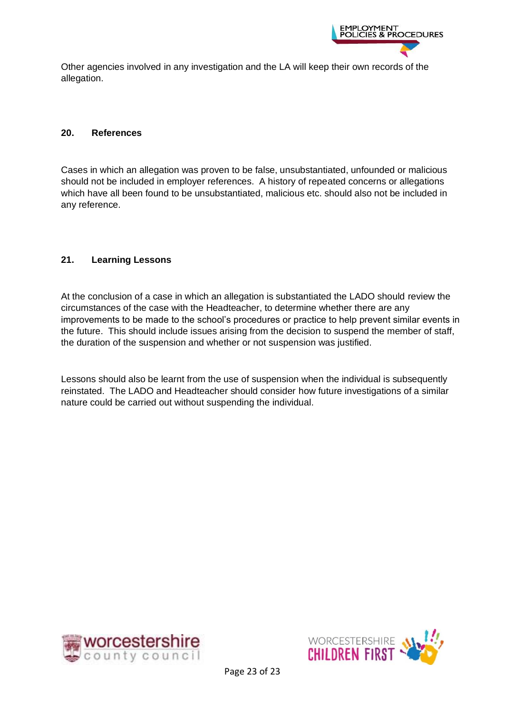

Other agencies involved in any investigation and the LA will keep their own records of the allegation.

#### <span id="page-22-0"></span>**20. References**

Cases in which an allegation was proven to be false, unsubstantiated, unfounded or malicious should not be included in employer references. A history of repeated concerns or allegations which have all been found to be unsubstantiated, malicious etc. should also not be included in any reference.

#### <span id="page-22-1"></span>**21. Learning Lessons**

At the conclusion of a case in which an allegation is substantiated the LADO should review the circumstances of the case with the Headteacher, to determine whether there are any improvements to be made to the school's procedures or practice to help prevent similar events in the future. This should include issues arising from the decision to suspend the member of staff, the duration of the suspension and whether or not suspension was justified.

Lessons should also be learnt from the use of suspension when the individual is subsequently reinstated. The LADO and Headteacher should consider how future investigations of a similar nature could be carried out without suspending the individual.



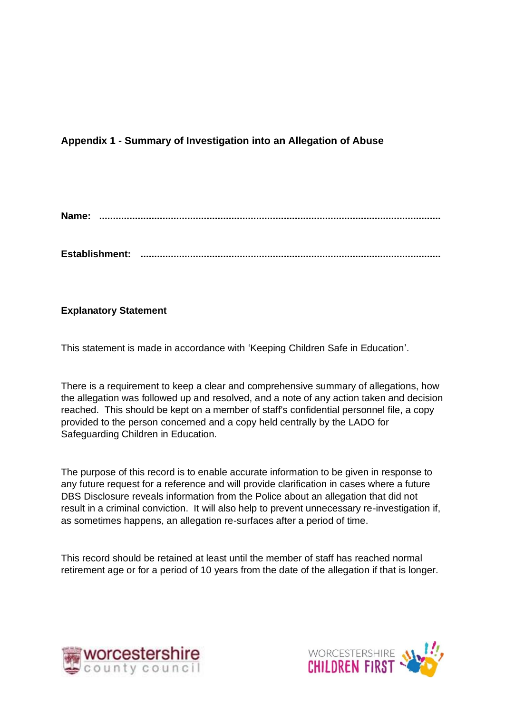## <span id="page-23-1"></span><span id="page-23-0"></span>**Appendix 1 - Summary of Investigation into an Allegation of Abuse**

**Name: ............................................................................................................................**

**Establishment: .............................................................................................................**

#### **Explanatory Statement**

This statement is made in accordance with 'Keeping Children Safe in Education'.

There is a requirement to keep a clear and comprehensive summary of allegations, how the allegation was followed up and resolved, and a note of any action taken and decision reached. This should be kept on a member of staff's confidential personnel file, a copy provided to the person concerned and a copy held centrally by the LADO for Safeguarding Children in Education.

The purpose of this record is to enable accurate information to be given in response to any future request for a reference and will provide clarification in cases where a future DBS Disclosure reveals information from the Police about an allegation that did not result in a criminal conviction. It will also help to prevent unnecessary re-investigation if, as sometimes happens, an allegation re-surfaces after a period of time.

This record should be retained at least until the member of staff has reached normal retirement age or for a period of 10 years from the date of the allegation if that is longer.



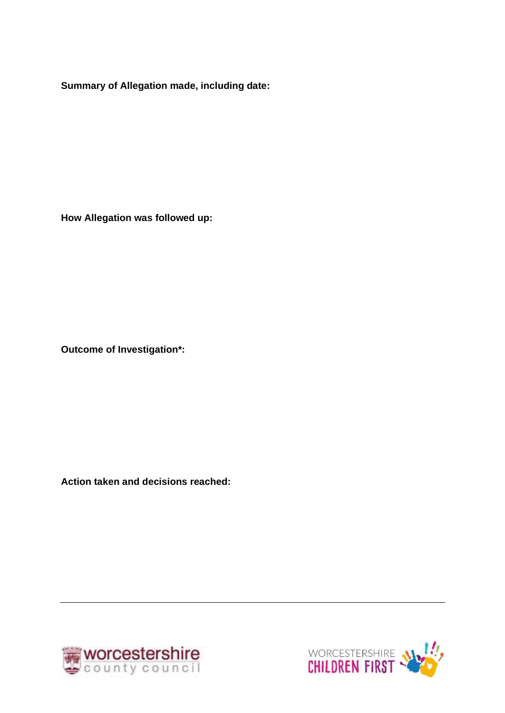**Summary of Allegation made, including date:**

**How Allegation was followed up:**

**Outcome of Investigation\*:**

**Action taken and decisions reached:**



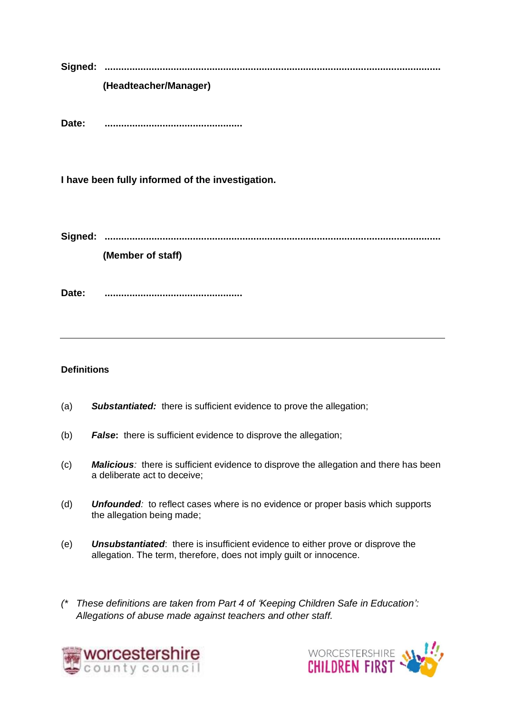**Signed: .......................................................................................................................... (Headteacher/Manager)**

**Date: ..................................................**

**I have been fully informed of the investigation.**

**Signed: ..........................................................................................................................**

**(Member of staff)**

**Date: ..................................................**

#### **Definitions**

- (a) *Substantiated:* there is sufficient evidence to prove the allegation;
- (b) *False***:** there is sufficient evidence to disprove the allegation;
- (c) *Malicious:* there is sufficient evidence to disprove the allegation and there has been a deliberate act to deceive;
- (d) *Unfounded:* to reflect cases where is no evidence or proper basis which supports the allegation being made;
- (e) *Unsubstantiated*: there is insufficient evidence to either prove or disprove the allegation. The term, therefore, does not imply guilt or innocence.
- *(\* These definitions are taken from Part 4 of 'Keeping Children Safe in Education': Allegations of abuse made against teachers and other staff.*



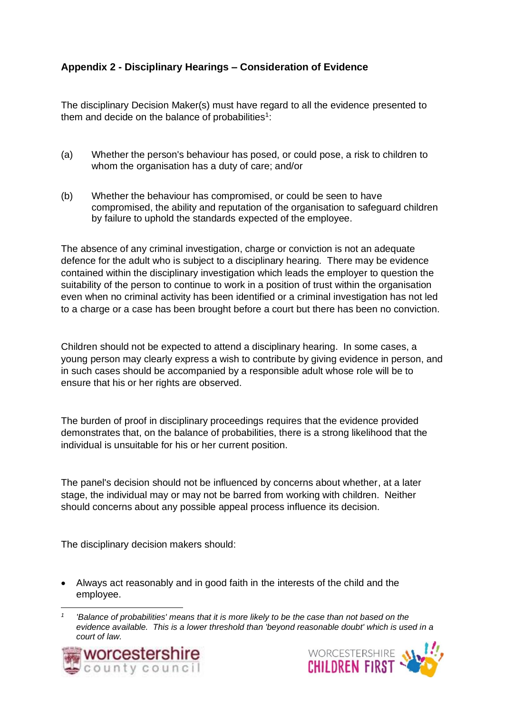# <span id="page-26-0"></span>**Appendix 2 - Disciplinary Hearings – Consideration of Evidence**

The disciplinary Decision Maker(s) must have regard to all the evidence presented to them and decide on the balance of probabilities<sup>1</sup>:

- (a) Whether the person's behaviour has posed, or could pose, a risk to children to whom the organisation has a duty of care; and/or
- (b) Whether the behaviour has compromised, or could be seen to have compromised, the ability and reputation of the organisation to safeguard children by failure to uphold the standards expected of the employee.

The absence of any criminal investigation, charge or conviction is not an adequate defence for the adult who is subject to a disciplinary hearing. There may be evidence contained within the disciplinary investigation which leads the employer to question the suitability of the person to continue to work in a position of trust within the organisation even when no criminal activity has been identified or a criminal investigation has not led to a charge or a case has been brought before a court but there has been no conviction.

Children should not be expected to attend a disciplinary hearing. In some cases, a young person may clearly express a wish to contribute by giving evidence in person, and in such cases should be accompanied by a responsible adult whose role will be to ensure that his or her rights are observed.

The burden of proof in disciplinary proceedings requires that the evidence provided demonstrates that, on the balance of probabilities, there is a strong likelihood that the individual is unsuitable for his or her current position.

The panel's decision should not be influenced by concerns about whether, at a later stage, the individual may or may not be barred from working with children. Neither should concerns about any possible appeal process influence its decision.

The disciplinary decision makers should:

• Always act reasonably and in good faith in the interests of the child and the employee.

*<sup>1</sup> 'Balance of probabilities' means that it is more likely to be the case than not based on the evidence available. This is a lower threshold than 'beyond reasonable doubt' which is used in a court of law.*



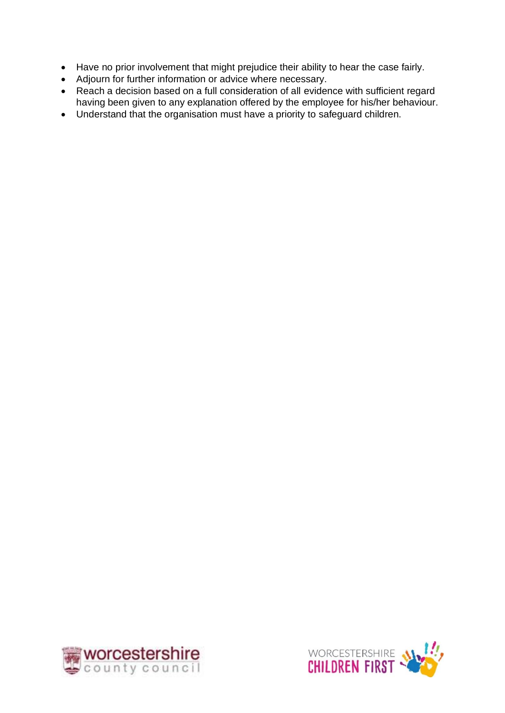- Have no prior involvement that might prejudice their ability to hear the case fairly.
- Adjourn for further information or advice where necessary.
- Reach a decision based on a full consideration of all evidence with sufficient regard having been given to any explanation offered by the employee for his/her behaviour.
- Understand that the organisation must have a priority to safeguard children.



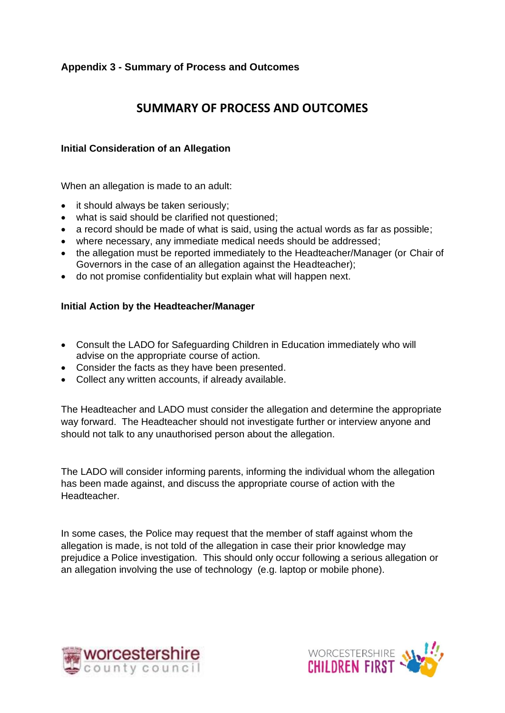## <span id="page-28-0"></span>**Appendix 3 - Summary of Process and Outcomes**

# **SUMMARY OF PROCESS AND OUTCOMES**

#### **Initial Consideration of an Allegation**

When an allegation is made to an adult:

- it should always be taken seriously;
- what is said should be clarified not questioned;
- a record should be made of what is said, using the actual words as far as possible;
- where necessary, any immediate medical needs should be addressed;
- the allegation must be reported immediately to the Headteacher/Manager (or Chair of Governors in the case of an allegation against the Headteacher);
- do not promise confidentiality but explain what will happen next.

#### **Initial Action by the Headteacher/Manager**

- Consult the LADO for Safeguarding Children in Education immediately who will advise on the appropriate course of action.
- Consider the facts as they have been presented.
- Collect any written accounts, if already available.

The Headteacher and LADO must consider the allegation and determine the appropriate way forward. The Headteacher should not investigate further or interview anyone and should not talk to any unauthorised person about the allegation.

The LADO will consider informing parents, informing the individual whom the allegation has been made against, and discuss the appropriate course of action with the Headteacher.

In some cases, the Police may request that the member of staff against whom the allegation is made, is not told of the allegation in case their prior knowledge may prejudice a Police investigation. This should only occur following a serious allegation or an allegation involving the use of technology (e.g. laptop or mobile phone).



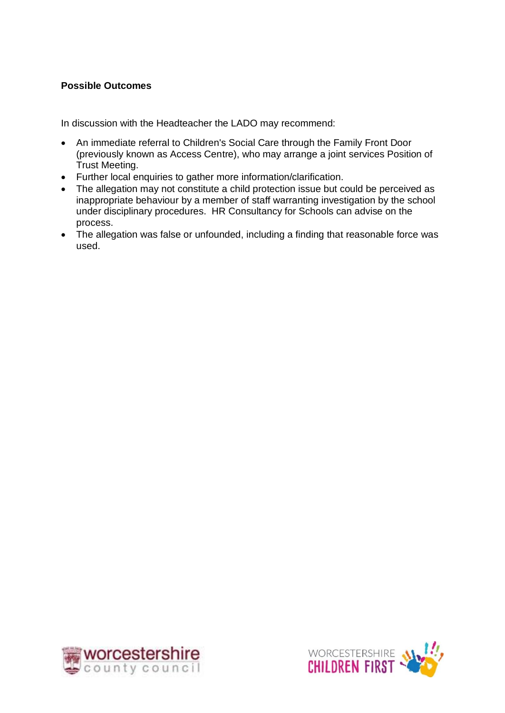#### **Possible Outcomes**

In discussion with the Headteacher the LADO may recommend:

- An immediate referral to Children's Social Care through the Family Front Door (previously known as Access Centre), who may arrange a joint services Position of Trust Meeting.
- Further local enquiries to gather more information/clarification.
- The allegation may not constitute a child protection issue but could be perceived as inappropriate behaviour by a member of staff warranting investigation by the school under disciplinary procedures. HR Consultancy for Schools can advise on the process.
- The allegation was false or unfounded, including a finding that reasonable force was used.



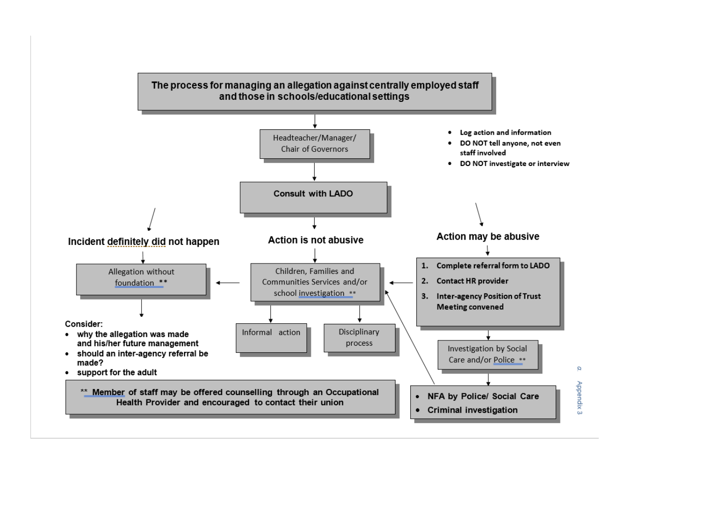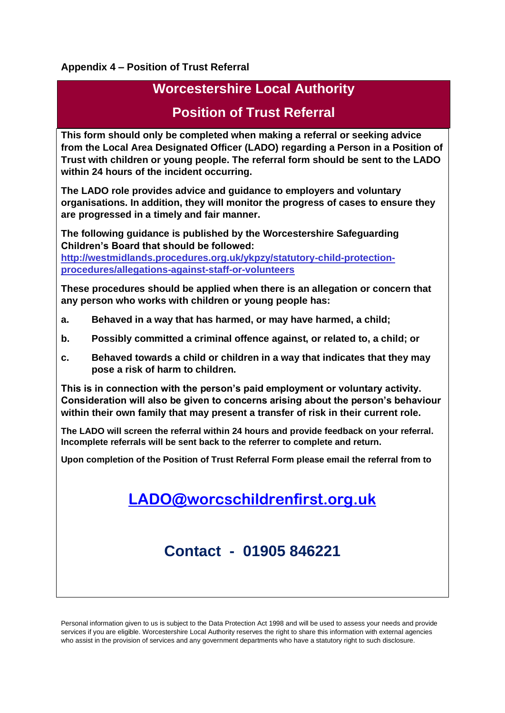#### **Appendix 4 – Position of Trust Referral**

# **Worcestershire Local Authority**

# **Position of Trust Referral**

**This form should only be completed when making a referral or seeking advice from the Local Area Designated Officer (LADO) regarding a Person in a Position of Trust with children or young people. The referral form should be sent to the LADO within 24 hours of the incident occurring.**

**The LADO role provides advice and guidance to employers and voluntary organisations. In addition, they will monitor the progress of cases to ensure they are progressed in a timely and fair manner.**

**The following guidance is published by the Worcestershire Safeguarding Children's Board that should be followed:**

**[http://westmidlands.procedures.org.uk/ykpzy/statutory-child-protection](http://westmidlands.procedures.org.uk/ykpzy/statutory-child-protection-procedures/allegations-against-staff-or-volunteers)[procedures/allegations-against-staff-or-volunteers](http://westmidlands.procedures.org.uk/ykpzy/statutory-child-protection-procedures/allegations-against-staff-or-volunteers)**

**These procedures should be applied when there is an allegation or concern that any person who works with children or young people has:**

- **a. Behaved in a way that has harmed, or may have harmed, a child;**
- **b. Possibly committed a criminal offence against, or related to, a child; or**
- **c. Behaved towards a child or children in a way that indicates that they may pose a risk of harm to children.**

**This is in connection with the person's paid employment or voluntary activity. Consideration will also be given to concerns arising about the person's behaviour within their own family that may present a transfer of risk in their current role.**

**The LADO will screen the referral within 24 hours and provide feedback on your referral. Incomplete referrals will be sent back to the referrer to complete and return.**

**Upon completion of the Position of Trust Referral Form please email the referral from to** 

**[LADO@worcschildrenfirst.org.uk](mailto:LADO@worcschildrenfirst.org.uk)**

**Contact - 01905 846221**

Personal information given to us is subject to the Data Protection Act 1998 and will be used to assess your needs and provide services if you are eligible. Worcestershire Local Authority reserves the right to share this information with external agencies who assist in the provision of services and any government departments who have a statutory right to such disclosure.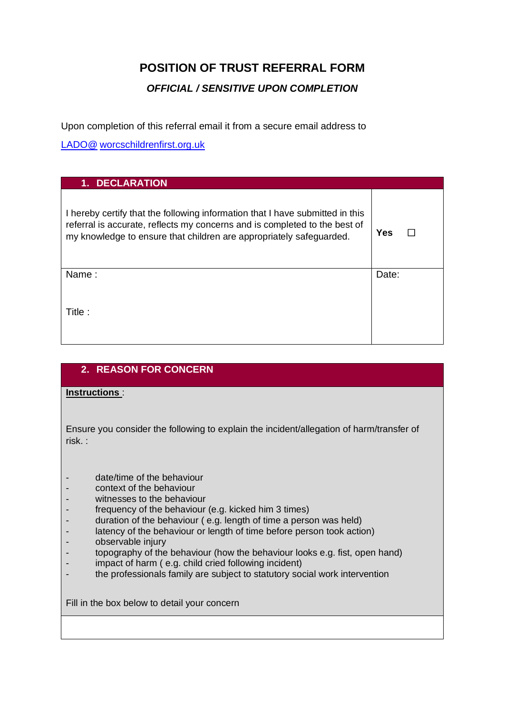# **POSITION OF TRUST REFERRAL FORM**

### *OFFICIAL / SENSITIVE UPON COMPLETION*

Upon completion of this referral email it from a secure email address to

LADO@ [worcschildrenfirst.org.uk](mailto:lado@worcestershire.gcsx.gov.uk) 

| <b>DECLARATION</b><br>1.                                                                                                                                                                                                           |       |
|------------------------------------------------------------------------------------------------------------------------------------------------------------------------------------------------------------------------------------|-------|
| I hereby certify that the following information that I have submitted in this<br>referral is accurate, reflects my concerns and is completed to the best of<br>my knowledge to ensure that children are appropriately safeguarded. | Yes   |
| Name:                                                                                                                                                                                                                              | Date: |
| Title:                                                                                                                                                                                                                             |       |

# **2. REASON FOR CONCERN**

#### **Instructions** :

Ensure you consider the following to explain the incident/allegation of harm/transfer of risk. :

- date/time of the behaviour
- context of the behaviour
- witnesses to the behaviour
- frequency of the behaviour (e.g. kicked him 3 times)
- duration of the behaviour (e.g. length of time a person was held)
- latency of the behaviour or length of time before person took action)
- observable injury
- topography of the behaviour (how the behaviour looks e.g. fist, open hand)
- impact of harm ( e.g. child cried following incident)
- the professionals family are subject to statutory social work intervention

Fill in the box below to detail your concern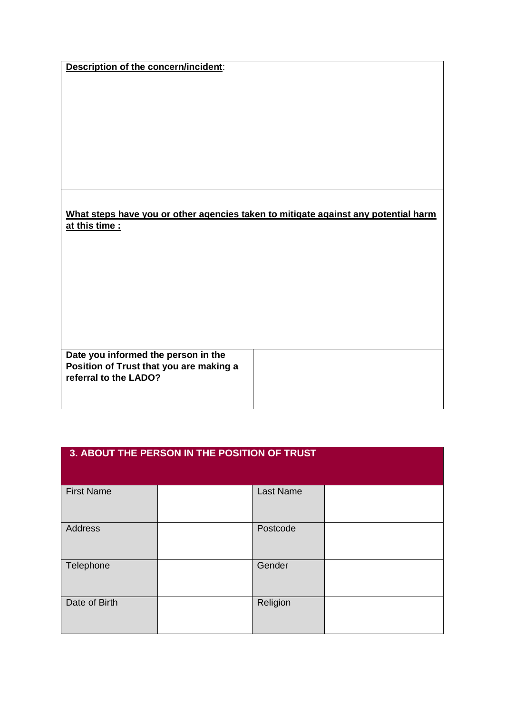|  | Description of the concern/incident: |
|--|--------------------------------------|
|  |                                      |

#### **What steps have you or other agencies taken to mitigate against any potential harm at this time :**

**Date you informed the person in the Position of Trust that you are making a referral to the LADO?**

| 3. ABOUT THE PERSON IN THE POSITION OF TRUST |  |                  |  |  |  |
|----------------------------------------------|--|------------------|--|--|--|
| <b>First Name</b>                            |  | <b>Last Name</b> |  |  |  |
| Address                                      |  | Postcode         |  |  |  |
| Telephone                                    |  | Gender           |  |  |  |
| Date of Birth                                |  | Religion         |  |  |  |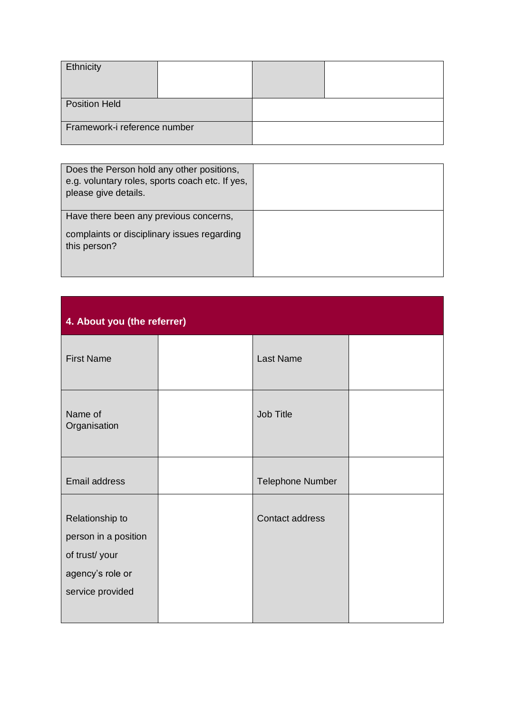| Ethnicity                    |  |  |
|------------------------------|--|--|
| <b>Position Held</b>         |  |  |
| Framework-i reference number |  |  |

| Does the Person hold any other positions,<br>e.g. voluntary roles, sports coach etc. If yes,<br>please give details. |  |
|----------------------------------------------------------------------------------------------------------------------|--|
| Have there been any previous concerns,                                                                               |  |
| complaints or disciplinary issues regarding<br>this person?                                                          |  |

| 4. About you (the referrer)                                                                      |  |                         |  |  |  |
|--------------------------------------------------------------------------------------------------|--|-------------------------|--|--|--|
| <b>First Name</b>                                                                                |  | <b>Last Name</b>        |  |  |  |
| Name of<br>Organisation                                                                          |  | Job Title               |  |  |  |
| Email address                                                                                    |  | <b>Telephone Number</b> |  |  |  |
| Relationship to<br>person in a position<br>of trust/your<br>agency's role or<br>service provided |  | Contact address         |  |  |  |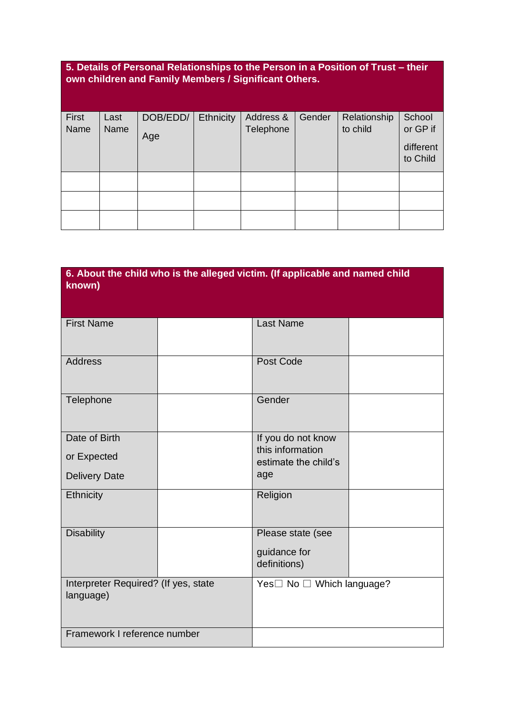# **5. Details of Personal Relationships to the Person in a Position of Trust – their own children and Family Members / Significant Others.**

| First | Last | DOB/EDD/ | Ethnicity | Address & | Gender | Relationship | School    |
|-------|------|----------|-----------|-----------|--------|--------------|-----------|
| Name  | Name | Age      |           | Telephone |        | to child     | or GP if  |
|       |      |          |           |           |        |              | different |
|       |      |          |           |           |        |              | to Child  |
|       |      |          |           |           |        |              |           |
|       |      |          |           |           |        |              |           |
|       |      |          |           |           |        |              |           |
|       |      |          |           |           |        |              |           |
|       |      |          |           |           |        |              |           |

| 6. About the child who is the alleged victim. (If applicable and named child<br>known) |  |                                          |  |  |  |
|----------------------------------------------------------------------------------------|--|------------------------------------------|--|--|--|
| <b>First Name</b>                                                                      |  | <b>Last Name</b>                         |  |  |  |
| <b>Address</b>                                                                         |  | Post Code                                |  |  |  |
| Telephone                                                                              |  | Gender                                   |  |  |  |
| Date of Birth                                                                          |  | If you do not know                       |  |  |  |
| or Expected                                                                            |  | this information<br>estimate the child's |  |  |  |
| <b>Delivery Date</b>                                                                   |  | age                                      |  |  |  |
| Ethnicity                                                                              |  | Religion                                 |  |  |  |
| <b>Disability</b>                                                                      |  | Please state (see                        |  |  |  |
|                                                                                        |  | guidance for<br>definitions)             |  |  |  |
| Interpreter Required? (If yes, state<br>language)                                      |  | Yes□ No □ Which language?                |  |  |  |
| Framework I reference number                                                           |  |                                          |  |  |  |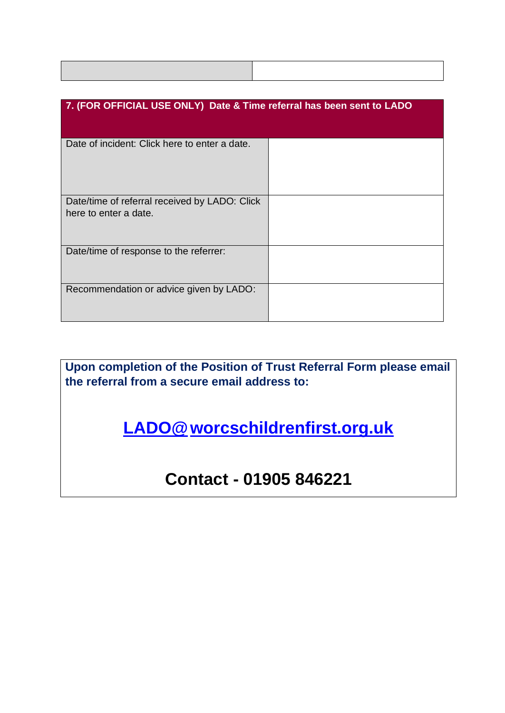| 7. (FOR OFFICIAL USE ONLY) Date & Time referral has been sent to LADO  |  |  |  |  |
|------------------------------------------------------------------------|--|--|--|--|
| Date of incident: Click here to enter a date.                          |  |  |  |  |
| Date/time of referral received by LADO: Click<br>here to enter a date. |  |  |  |  |
| Date/time of response to the referrer:                                 |  |  |  |  |
| Recommendation or advice given by LADO:                                |  |  |  |  |

**Upon completion of the Position of Trust Referral Form please email the referral from a secure email address to:**

**[LADO@worcschildrenfirst.org.uk](mailto:lado@worcestershire.gcsx.gov.uk)** 

# **Contact - 01905 846221**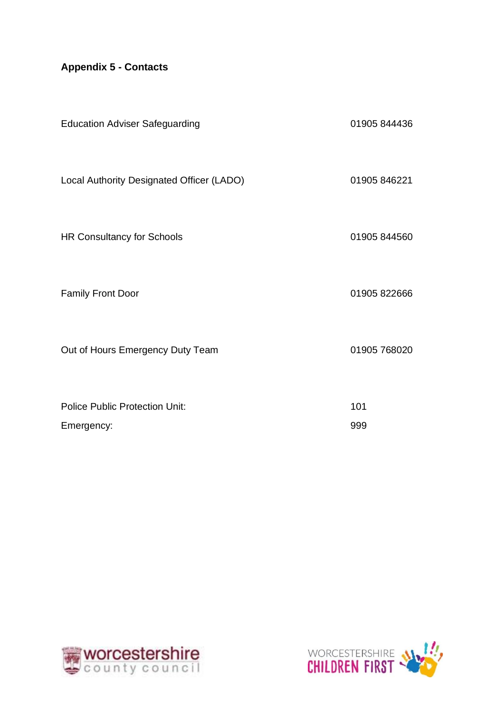# **Appendix 5 - Contacts**

| <b>Education Adviser Safeguarding</b>     | 01905 844436 |
|-------------------------------------------|--------------|
| Local Authority Designated Officer (LADO) | 01905 846221 |
| <b>HR Consultancy for Schools</b>         | 01905 844560 |
| <b>Family Front Door</b>                  | 01905 822666 |
| Out of Hours Emergency Duty Team          | 01905 768020 |
| <b>Police Public Protection Unit:</b>     | 101          |
| Emergency:                                | 999          |